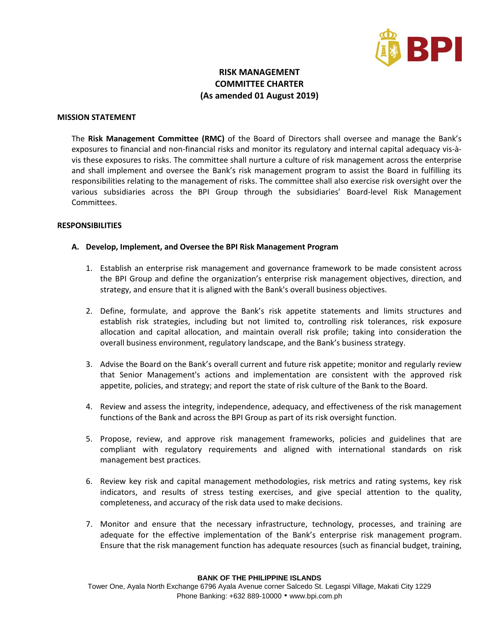

# **RISK MANAGEMENT COMMITTEE CHARTER (As amended 01 August 2019)**

### **MISSION STATEMENT**

The **Risk Management Committee (RMC)** of the Board of Directors shall oversee and manage the Bank's exposures to financial and non-financial risks and monitor its regulatory and internal capital adequacy vis-àvis these exposures to risks. The committee shall nurture a culture of risk management across the enterprise and shall implement and oversee the Bank's risk management program to assist the Board in fulfilling its responsibilities relating to the management of risks. The committee shall also exercise risk oversight over the various subsidiaries across the BPI Group through the subsidiaries' Board-level Risk Management Committees.

#### **RESPONSIBILITIES**

### **A. Develop, Implement, and Oversee the BPI Risk Management Program**

- 1. Establish an enterprise risk management and governance framework to be made consistent across the BPI Group and define the organization's enterprise risk management objectives, direction, and strategy, and ensure that it is aligned with the Bank's overall business objectives.
- 2. Define, formulate, and approve the Bank's risk appetite statements and limits structures and establish risk strategies, including but not limited to, controlling risk tolerances, risk exposure allocation and capital allocation, and maintain overall risk profile; taking into consideration the overall business environment, regulatory landscape, and the Bank's business strategy.
- 3. Advise the Board on the Bank's overall current and future risk appetite; monitor and regularly review that Senior Management's actions and implementation are consistent with the approved risk appetite, policies, and strategy; and report the state of risk culture of the Bank to the Board.
- 4. Review and assess the integrity, independence, adequacy, and effectiveness of the risk management functions of the Bank and across the BPI Group as part of its risk oversight function.
- 5. Propose, review, and approve risk management frameworks, policies and guidelines that are compliant with regulatory requirements and aligned with international standards on risk management best practices.
- 6. Review key risk and capital management methodologies, risk metrics and rating systems, key risk indicators, and results of stress testing exercises, and give special attention to the quality, completeness, and accuracy of the risk data used to make decisions.
- 7. Monitor and ensure that the necessary infrastructure, technology, processes, and training are adequate for the effective implementation of the Bank's enterprise risk management program. Ensure that the risk management function has adequate resources (such as financial budget, training,

#### **BANK OF THE PHILIPPINE ISLANDS**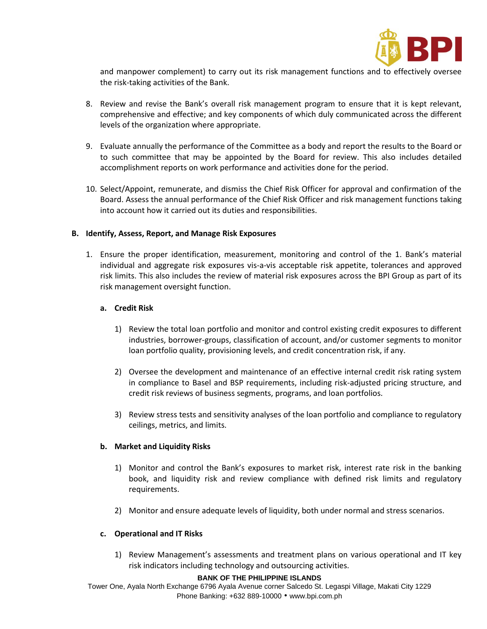

and manpower complement) to carry out its risk management functions and to effectively oversee the risk-taking activities of the Bank.

- 8. Review and revise the Bank's overall risk management program to ensure that it is kept relevant, comprehensive and effective; and key components of which duly communicated across the different levels of the organization where appropriate.
- 9. Evaluate annually the performance of the Committee as a body and report the results to the Board or to such committee that may be appointed by the Board for review. This also includes detailed accomplishment reports on work performance and activities done for the period.
- 10. Select/Appoint, remunerate, and dismiss the Chief Risk Officer for approval and confirmation of the Board. Assess the annual performance of the Chief Risk Officer and risk management functions taking into account how it carried out its duties and responsibilities.

# **B. Identify, Assess, Report, and Manage Risk Exposures**

1. Ensure the proper identification, measurement, monitoring and control of the 1. Bank's material individual and aggregate risk exposures vis-a-vis acceptable risk appetite, tolerances and approved risk limits. This also includes the review of material risk exposures across the BPI Group as part of its risk management oversight function.

## **a. Credit Risk**

- 1) Review the total loan portfolio and monitor and control existing credit exposures to different industries, borrower-groups, classification of account, and/or customer segments to monitor loan portfolio quality, provisioning levels, and credit concentration risk, if any.
- 2) Oversee the development and maintenance of an effective internal credit risk rating system in compliance to Basel and BSP requirements, including risk-adjusted pricing structure, and credit risk reviews of business segments, programs, and loan portfolios.
- 3) Review stress tests and sensitivity analyses of the loan portfolio and compliance to regulatory ceilings, metrics, and limits.

### **b. Market and Liquidity Risks**

- 1) Monitor and control the Bank's exposures to market risk, interest rate risk in the banking book, and liquidity risk and review compliance with defined risk limits and regulatory requirements.
- 2) Monitor and ensure adequate levels of liquidity, both under normal and stress scenarios.

# **c. Operational and IT Risks**

1) Review Management's assessments and treatment plans on various operational and IT key risk indicators including technology and outsourcing activities.

#### **BANK OF THE PHILIPPINE ISLANDS**

Tower One, Ayala North Exchange 6796 Ayala Avenue corner Salcedo St. Legaspi Village, Makati City 1229 Phone Banking: +632 889-10000 • [www.bpi.com.ph](http://www.bpi.com.ph/)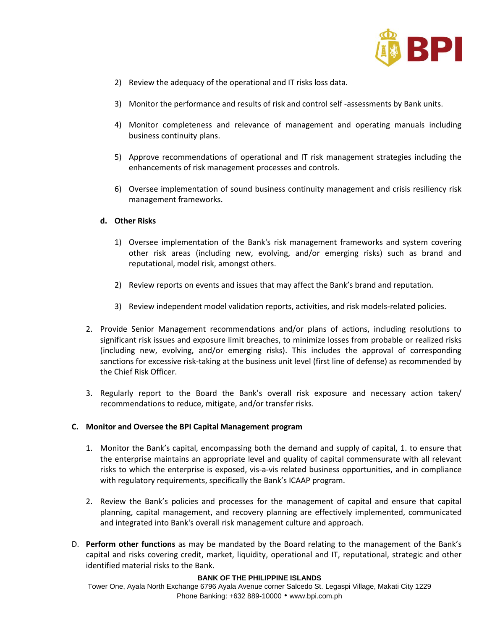

- 2) Review the adequacy of the operational and IT risks loss data.
- 3) Monitor the performance and results of risk and control self -assessments by Bank units.
- 4) Monitor completeness and relevance of management and operating manuals including business continuity plans.
- 5) Approve recommendations of operational and IT risk management strategies including the enhancements of risk management processes and controls.
- 6) Oversee implementation of sound business continuity management and crisis resiliency risk management frameworks.

## **d. Other Risks**

- 1) Oversee implementation of the Bank's risk management frameworks and system covering other risk areas (including new, evolving, and/or emerging risks) such as brand and reputational, model risk, amongst others.
- 2) Review reports on events and issues that may affect the Bank's brand and reputation.
- 3) Review independent model validation reports, activities, and risk models-related policies.
- 2. Provide Senior Management recommendations and/or plans of actions, including resolutions to significant risk issues and exposure limit breaches, to minimize losses from probable or realized risks (including new, evolving, and/or emerging risks). This includes the approval of corresponding sanctions for excessive risk-taking at the business unit level (first line of defense) as recommended by the Chief Risk Officer.
- 3. Regularly report to the Board the Bank's overall risk exposure and necessary action taken/ recommendations to reduce, mitigate, and/or transfer risks.

### **C. Monitor and Oversee the BPI Capital Management program**

- 1. Monitor the Bank's capital, encompassing both the demand and supply of capital, 1. to ensure that the enterprise maintains an appropriate level and quality of capital commensurate with all relevant risks to which the enterprise is exposed, vis-a-vis related business opportunities, and in compliance with regulatory requirements, specifically the Bank's ICAAP program.
- 2. Review the Bank's policies and processes for the management of capital and ensure that capital planning, capital management, and recovery planning are effectively implemented, communicated and integrated into Bank's overall risk management culture and approach.
- D. **Perform other functions** as may be mandated by the Board relating to the management of the Bank's capital and risks covering credit, market, liquidity, operational and IT, reputational, strategic and other identified material risks to the Bank.

#### **BANK OF THE PHILIPPINE ISLANDS**

Tower One, Ayala North Exchange 6796 Ayala Avenue corner Salcedo St. Legaspi Village, Makati City 1229 Phone Banking: +632 889-10000 • [www.bpi.com.ph](http://www.bpi.com.ph/)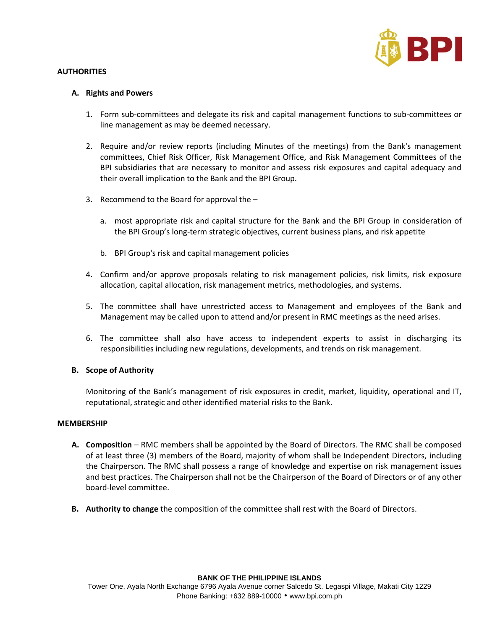

# **AUTHORITIES**

# **A. Rights and Powers**

- 1. Form sub-committees and delegate its risk and capital management functions to sub-committees or line management as may be deemed necessary.
- 2. Require and/or review reports (including Minutes of the meetings) from the Bank's management committees, Chief Risk Officer, Risk Management Office, and Risk Management Committees of the BPI subsidiaries that are necessary to monitor and assess risk exposures and capital adequacy and their overall implication to the Bank and the BPI Group.
- 3. Recommend to the Board for approval the
	- a. most appropriate risk and capital structure for the Bank and the BPI Group in consideration of the BPI Group's long-term strategic objectives, current business plans, and risk appetite
	- b. BPI Group's risk and capital management policies
- 4. Confirm and/or approve proposals relating to risk management policies, risk limits, risk exposure allocation, capital allocation, risk management metrics, methodologies, and systems.
- 5. The committee shall have unrestricted access to Management and employees of the Bank and Management may be called upon to attend and/or present in RMC meetings as the need arises.
- 6. The committee shall also have access to independent experts to assist in discharging its responsibilities including new regulations, developments, and trends on risk management.

# **B. Scope of Authority**

Monitoring of the Bank's management of risk exposures in credit, market, liquidity, operational and IT, reputational, strategic and other identified material risks to the Bank.

# **MEMBERSHIP**

- **A. Composition** RMC members shall be appointed by the Board of Directors. The RMC shall be composed of at least three (3) members of the Board, majority of whom shall be Independent Directors, including the Chairperson. The RMC shall possess a range of knowledge and expertise on risk management issues and best practices. The Chairperson shall not be the Chairperson of the Board of Directors or of any other board-level committee.
- **B. Authority to change** the composition of the committee shall rest with the Board of Directors.